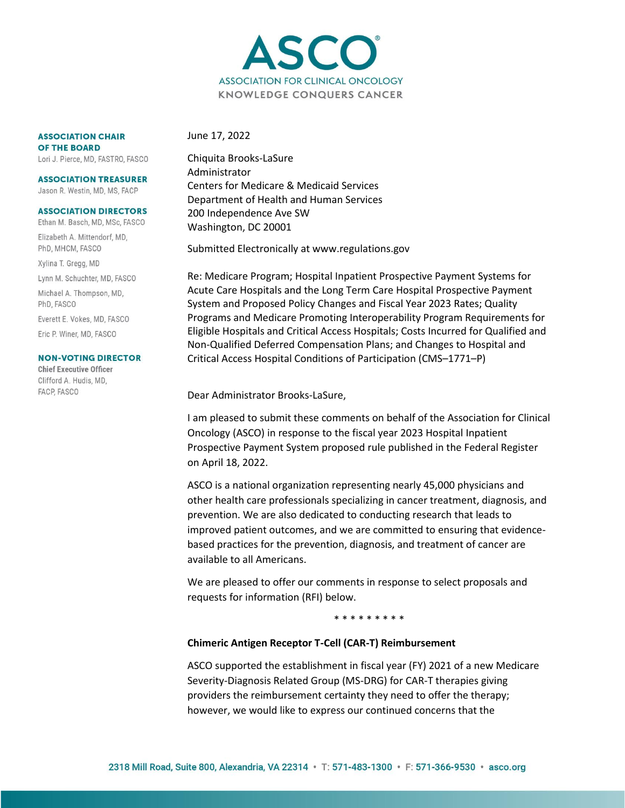

**ASSOCIATION CHAIR** OF THE BOARD

Lori J. Pierce, MD, FASTRO, FASCO

#### **ASSOCIATION TREASURER** Jason R. Westin, MD, MS, FACP

#### **ASSOCIATION DIRECTORS**

Ethan M. Basch, MD, MSc, FASCO Elizabeth A. Mittendorf, MD, PhD, MHCM, FASCO Xylina T. Gregg, MD Lynn M. Schuchter, MD, FASCO Michael A. Thompson, MD, PhD. FASCO Everett E. Vokes, MD, FASCO Eric P. Winer, MD, FASCO

#### **NON-VOTING DIRECTOR**

**Chief Executive Officer** Clifford A. Hudis, MD. FACP, FASCO

June 17, 2022

Chiquita Brooks-LaSure Administrator Centers for Medicare & Medicaid Services Department of Health and Human Services 200 Independence Ave SW Washington, DC 20001

Submitted Electronically at www.regulations.gov

Re: Medicare Program; Hospital Inpatient Prospective Payment Systems for Acute Care Hospitals and the Long Term Care Hospital Prospective Payment System and Proposed Policy Changes and Fiscal Year 2023 Rates; Quality Programs and Medicare Promoting Interoperability Program Requirements for Eligible Hospitals and Critical Access Hospitals; Costs Incurred for Qualified and Non-Qualified Deferred Compensation Plans; and Changes to Hospital and Critical Access Hospital Conditions of Participation (CMS–1771–P)

Dear Administrator Brooks-LaSure,

I am pleased to submit these comments on behalf of the Association for Clinical Oncology (ASCO) in response to the fiscal year 2023 Hospital Inpatient Prospective Payment System proposed rule published in the Federal Register on April 18, 2022.

ASCO is a national organization representing nearly 45,000 physicians and other health care professionals specializing in cancer treatment, diagnosis, and prevention. We are also dedicated to conducting research that leads to improved patient outcomes, and we are committed to ensuring that evidencebased practices for the prevention, diagnosis, and treatment of cancer are available to all Americans.

We are pleased to offer our comments in response to select proposals and requests for information (RFI) below.

\* \* \* \* \* \* \* \* \*

## **Chimeric Antigen Receptor T-Cell (CAR-T) Reimbursement**

ASCO supported the establishment in fiscal year (FY) 2021 of a new Medicare Severity-Diagnosis Related Group (MS-DRG) for CAR-T therapies giving providers the reimbursement certainty they need to offer the therapy; however, we would like to express our continued concerns that the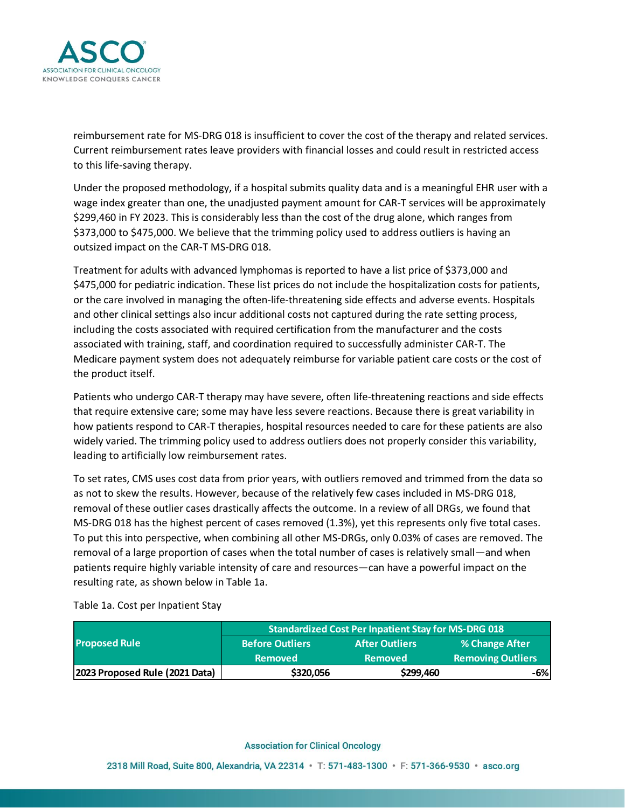

reimbursement rate for MS-DRG 018 is insufficient to cover the cost of the therapy and related services. Current reimbursement rates leave providers with financial losses and could result in restricted access to this life-saving therapy.

Under the proposed methodology, if a hospital submits quality data and is a meaningful EHR user with a wage index greater than one, the unadjusted payment amount for CAR-T services will be approximately \$299,460 in FY 2023. This is considerably less than the cost of the drug alone, which ranges from \$373,000 to \$475,000. We believe that the trimming policy used to address outliers is having an outsized impact on the CAR-T MS-DRG 018.

Treatment for adults with advanced lymphomas is reported to have a list price of \$373,000 and \$475,000 for pediatric indication. These list prices do not include the hospitalization costs for patients, or the care involved in managing the often-life-threatening side effects and adverse events. Hospitals and other clinical settings also incur additional costs not captured during the rate setting process, including the costs associated with required certification from the manufacturer and the costs associated with training, staff, and coordination required to successfully administer CAR-T. The Medicare payment system does not adequately reimburse for variable patient care costs or the cost of the product itself.

Patients who undergo CAR-T therapy may have severe, often life-threatening reactions and side effects that require extensive care; some may have less severe reactions. Because there is great variability in how patients respond to CAR-T therapies, hospital resources needed to care for these patients are also widely varied. The trimming policy used to address outliers does not properly consider this variability, leading to artificially low reimbursement rates.

To set rates, CMS uses cost data from prior years, with outliers removed and trimmed from the data so as not to skew the results. However, because of the relatively few cases included in MS-DRG 018, removal of these outlier cases drastically affects the outcome. In a review of all DRGs, we found that MS-DRG 018 has the highest percent of cases removed (1.3%), yet this represents only five total cases. To put this into perspective, when combining all other MS-DRGs, only 0.03% of cases are removed. The removal of a large proportion of cases when the total number of cases is relatively small—and when patients require highly variable intensity of care and resources—can have a powerful impact on the resulting rate, as shown below in Table 1a.

Table 1a. Cost per Inpatient Stay

| <b>Proposed Rule</b>           | Standardized Cost Per Inpatient Stay for MS-DRG 018 |                       |                                |
|--------------------------------|-----------------------------------------------------|-----------------------|--------------------------------|
|                                | <b>Before Outliers</b>                              | <b>After Outliers</b> | % Change After                 |
|                                | <b>Removed</b>                                      | <b>Removed</b>        | Removing Outliers <sup> </sup> |
| 2023 Proposed Rule (2021 Data) | \$320,056                                           | \$299,460             | -6%                            |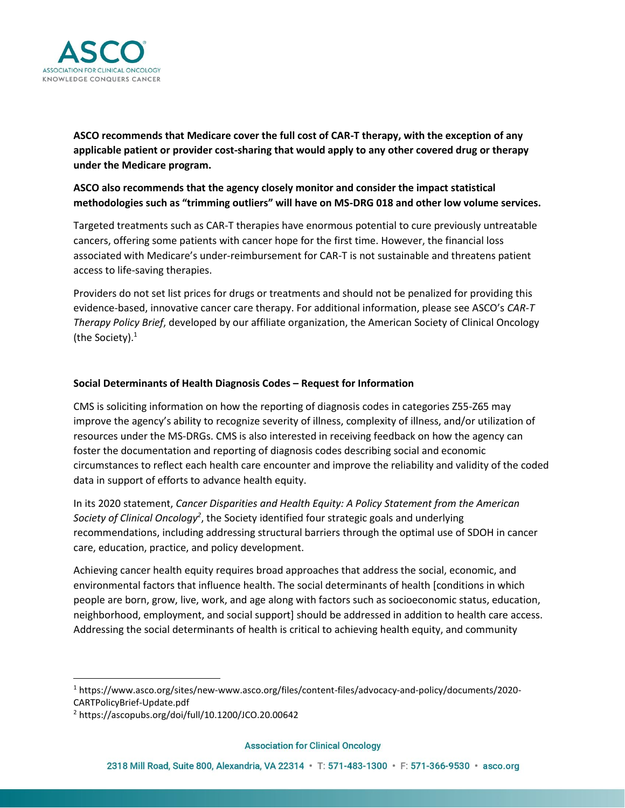

**ASCO recommends that Medicare cover the full cost of CAR-T therapy, with the exception of any applicable patient or provider cost-sharing that would apply to any other covered drug or therapy under the Medicare program.**

**ASCO also recommends that the agency closely monitor and consider the impact statistical methodologies such as "trimming outliers" will have on MS-DRG 018 and other low volume services.**

Targeted treatments such as CAR-T therapies have enormous potential to cure previously untreatable cancers, offering some patients with cancer hope for the first time. However, the financial loss associated with Medicare's under-reimbursement for CAR-T is not sustainable and threatens patient access to life-saving therapies.

Providers do not set list prices for drugs or treatments and should not be penalized for providing this evidence-based, innovative cancer care therapy. For additional information, please see ASCO's *CAR-T Therapy Policy Brief*, developed by our affiliate organization, the American Society of Clinical Oncology (the Society). $1$ 

## **Social Determinants of Health Diagnosis Codes – Request for Information**

CMS is soliciting information on how the reporting of diagnosis codes in categories Z55-Z65 may improve the agency's ability to recognize severity of illness, complexity of illness, and/or utilization of resources under the MS-DRGs. CMS is also interested in receiving feedback on how the agency can foster the documentation and reporting of diagnosis codes describing social and economic circumstances to reflect each health care encounter and improve the reliability and validity of the coded data in support of efforts to advance health equity.

In its 2020 statement, *Cancer Disparities and Health Equity: A Policy Statement from the American*  Society of Clinical Oncology<sup>2</sup>, the Society identified four strategic goals and underlying recommendations, including addressing structural barriers through the optimal use of SDOH in cancer care, education, practice, and policy development.

Achieving cancer health equity requires broad approaches that address the social, economic, and environmental factors that influence health. The social determinants of health [conditions in which people are born, grow, live, work, and age along with factors such as socioeconomic status, education, neighborhood, employment, and social support] should be addressed in addition to health care access. Addressing the social determinants of health is critical to achieving health equity, and community

<sup>1</sup> https://www.asco.org/sites/new-www.asco.org/files/content-files/advocacy-and-policy/documents/2020- CARTPolicyBrief-Update.pdf

<sup>2</sup> https://ascopubs.org/doi/full/10.1200/JCO.20.00642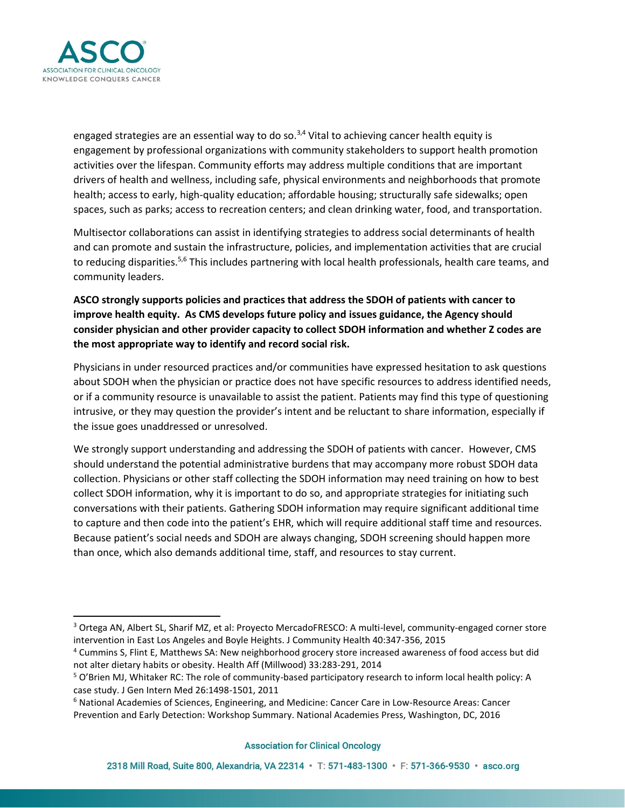

engaged strategies are an essential way to do so.<sup>3,4</sup> Vital to achieving cancer health equity is engagement by professional organizations with community stakeholders to support health promotion activities over the lifespan. Community efforts may address multiple conditions that are important drivers of health and wellness, including safe, physical environments and neighborhoods that promote health; access to early, high-quality education; affordable housing; structurally safe sidewalks; open spaces, such as parks; access to recreation centers; and clean drinking water, food, and transportation.

Multisector collaborations can assist in identifying strategies to address social determinants of health and can promote and sustain the infrastructure, policies, and implementation activities that are crucial to reducing disparities.<sup>5,6</sup> This includes partnering with local health professionals, health care teams, and community leaders.

**ASCO strongly supports policies and practices that address the SDOH of patients with cancer to improve health equity. As CMS develops future policy and issues guidance, the Agency should consider physician and other provider capacity to collect SDOH information and whether Z codes are the most appropriate way to identify and record social risk.** 

Physicians in under resourced practices and/or communities have expressed hesitation to ask questions about SDOH when the physician or practice does not have specific resources to address identified needs, or if a community resource is unavailable to assist the patient. Patients may find this type of questioning intrusive, or they may question the provider's intent and be reluctant to share information, especially if the issue goes unaddressed or unresolved.

We strongly support understanding and addressing the SDOH of patients with cancer. However, CMS should understand the potential administrative burdens that may accompany more robust SDOH data collection. Physicians or other staff collecting the SDOH information may need training on how to best collect SDOH information, why it is important to do so, and appropriate strategies for initiating such conversations with their patients. Gathering SDOH information may require significant additional time to capture and then code into the patient's EHR, which will require additional staff time and resources. Because patient's social needs and SDOH are always changing, SDOH screening should happen more than once, which also demands additional time, staff, and resources to stay current.

<sup>3</sup> Ortega AN, Albert SL, Sharif MZ, et al: Proyecto MercadoFRESCO: A multi-level, community-engaged corner store intervention in East Los Angeles and Boyle Heights. J Community Health 40:347-356, 2015

<sup>4</sup> Cummins S, Flint E, Matthews SA: New neighborhood grocery store increased awareness of food access but did not alter dietary habits or obesity. Health Aff (Millwood) 33:283-291, 2014

<sup>5</sup> O'Brien MJ, Whitaker RC: The role of community-based participatory research to inform local health policy: A case study. J Gen Intern Med 26:1498-1501, 2011

<sup>6</sup> National Academies of Sciences, Engineering, and Medicine: Cancer Care in Low-Resource Areas: Cancer Prevention and Early Detection: Workshop Summary. National Academies Press, Washington, DC, 2016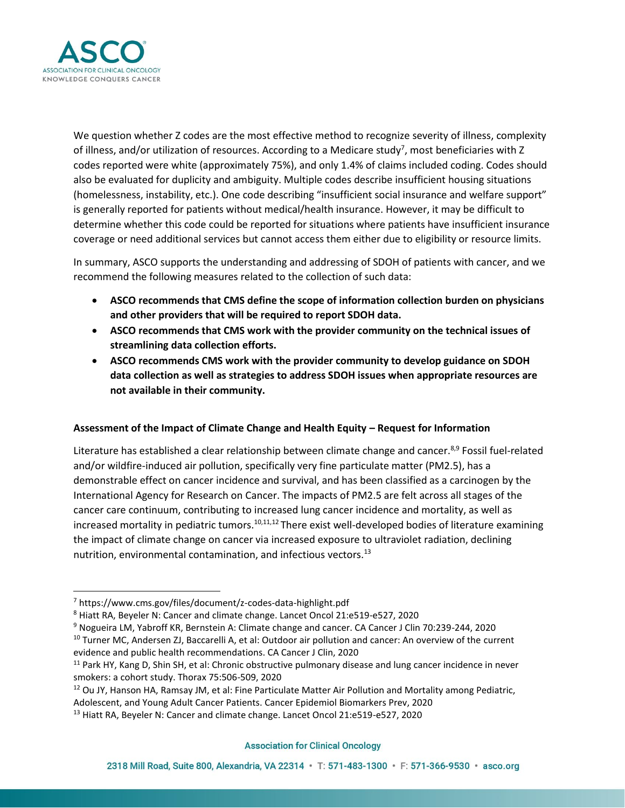

We question whether Z codes are the most effective method to recognize severity of illness, complexity of illness, and/or utilization of resources. According to a Medicare study<sup>7</sup>, most beneficiaries with Z codes reported were white (approximately 75%), and only 1.4% of claims included coding. Codes should also be evaluated for duplicity and ambiguity. Multiple codes describe insufficient housing situations (homelessness, instability, etc.). One code describing "insufficient social insurance and welfare support" is generally reported for patients without medical/health insurance. However, it may be difficult to determine whether this code could be reported for situations where patients have insufficient insurance coverage or need additional services but cannot access them either due to eligibility or resource limits.

In summary, ASCO supports the understanding and addressing of SDOH of patients with cancer, and we recommend the following measures related to the collection of such data:

- **ASCO recommends that CMS define the scope of information collection burden on physicians and other providers that will be required to report SDOH data.**
- **ASCO recommends that CMS work with the provider community on the technical issues of streamlining data collection efforts.**
- **ASCO recommends CMS work with the provider community to develop guidance on SDOH data collection as well as strategies to address SDOH issues when appropriate resources are not available in their community.**

## **Assessment of the Impact of Climate Change and Health Equity – Request for Information**

Literature has established a clear relationship between climate change and cancer.<sup>8,9</sup> Fossil fuel-related and/or wildfire-induced air pollution, specifically very fine particulate matter (PM2.5), has a demonstrable effect on cancer incidence and survival, and has been classified as a carcinogen by the International Agency for Research on Cancer. The impacts of PM2.5 are felt across all stages of the cancer care continuum, contributing to increased lung cancer incidence and mortality, as well as increased mortality in pediatric tumors.<sup>10,11,12</sup> There exist well-developed bodies of literature examining the impact of climate change on cancer via increased exposure to ultraviolet radiation, declining nutrition, environmental contamination, and infectious vectors. $^{13}$ 

<sup>7</sup> https://www.cms.gov/files/document/z-codes-data-highlight.pdf

<sup>8</sup> Hiatt RA, Beyeler N: Cancer and climate change. Lancet Oncol 21:e519-e527, 2020

<sup>9</sup> Nogueira LM, Yabroff KR, Bernstein A: Climate change and cancer. CA Cancer J Clin 70:239-244, 2020

<sup>10</sup> Turner MC, Andersen ZJ, Baccarelli A, et al: Outdoor air pollution and cancer: An overview of the current evidence and public health recommendations. CA Cancer J Clin, 2020

<sup>&</sup>lt;sup>11</sup> Park HY, Kang D, Shin SH, et al: Chronic obstructive pulmonary disease and lung cancer incidence in never smokers: a cohort study. Thorax 75:506-509, 2020

<sup>12</sup> Ou JY, Hanson HA, Ramsay JM, et al: Fine Particulate Matter Air Pollution and Mortality among Pediatric, Adolescent, and Young Adult Cancer Patients. Cancer Epidemiol Biomarkers Prev, 2020

<sup>13</sup> Hiatt RA, Beyeler N: Cancer and climate change. Lancet Oncol 21:e519-e527, 2020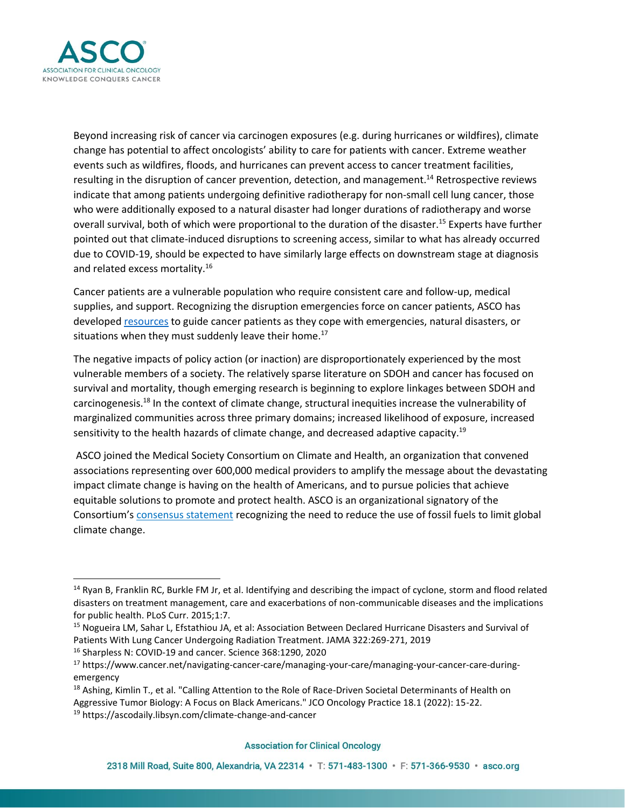

Beyond increasing risk of cancer via carcinogen exposures (e.g. during hurricanes or wildfires), climate change has potential to affect oncologists' ability to care for patients with cancer. Extreme weather events such as wildfires, floods, and hurricanes can prevent access to cancer treatment facilities, resulting in the disruption of cancer prevention, detection, and management.<sup>14</sup> Retrospective reviews indicate that among patients undergoing definitive radiotherapy for non-small cell lung cancer, those who were additionally exposed to a natural disaster had longer durations of radiotherapy and worse overall survival, both of which were proportional to the duration of the disaster.<sup>15</sup> Experts have further pointed out that climate-induced disruptions to screening access, similar to what has already occurred due to COVID-19, should be expected to have similarly large effects on downstream stage at diagnosis and related excess mortality.<sup>16</sup>

Cancer patients are a vulnerable population who require consistent care and follow-up, medical supplies, and support. Recognizing the disruption emergencies force on cancer patients, ASCO has develope[d resources](https://www.cancer.net/navigating-cancer-care/managing-your-care/managing-your-cancer-care-during-emergency) to guide cancer patients as they cope with emergencies, natural disasters, or situations when they must suddenly leave their home.<sup>17</sup>

The negative impacts of policy action (or inaction) are disproportionately experienced by the most vulnerable members of a society. The relatively sparse literature on SDOH and cancer has focused on survival and mortality, though emerging research is beginning to explore linkages between SDOH and carcinogenesis.<sup>18</sup> In the context of climate change, structural inequities increase the vulnerability of marginalized communities across three primary domains; increased likelihood of exposure, increased sensitivity to the health hazards of climate change, and decreased adaptive capacity.<sup>19</sup>

ASCO joined the Medical Society Consortium on Climate and Health, an organization that convened associations representing over 600,000 medical providers to amplify the message about the devastating impact climate change is having on the health of Americans, and to pursue policies that achieve equitable solutions to promote and protect health. ASCO is an organizational signatory of the Consortium's [consensus statement](https://medsocietiesforclimatehealth.org/about/mission-and-consensus-statement/) recognizing the need to reduce the use of fossil fuels to limit global climate change.

<sup>16</sup> Sharpless N: COVID-19 and cancer. Science 368:1290, 2020

 $14$  Ryan B, Franklin RC, Burkle FM Jr, et al. Identifying and describing the impact of cyclone, storm and flood related disasters on treatment management, care and exacerbations of non-communicable diseases and the implications for public health. PLoS Curr. 2015;1:7.

<sup>15</sup> Nogueira LM, Sahar L, Efstathiou JA, et al: Association Between Declared Hurricane Disasters and Survival of Patients With Lung Cancer Undergoing Radiation Treatment. JAMA 322:269-271, 2019

<sup>17</sup> https://www.cancer.net/navigating-cancer-care/managing-your-care/managing-your-cancer-care-duringemergency

<sup>&</sup>lt;sup>18</sup> Ashing, Kimlin T., et al. "Calling Attention to the Role of Race-Driven Societal Determinants of Health on Aggressive Tumor Biology: A Focus on Black Americans." JCO Oncology Practice 18.1 (2022): 15-22.

<sup>19</sup> https://ascodaily.libsyn.com/climate-change-and-cancer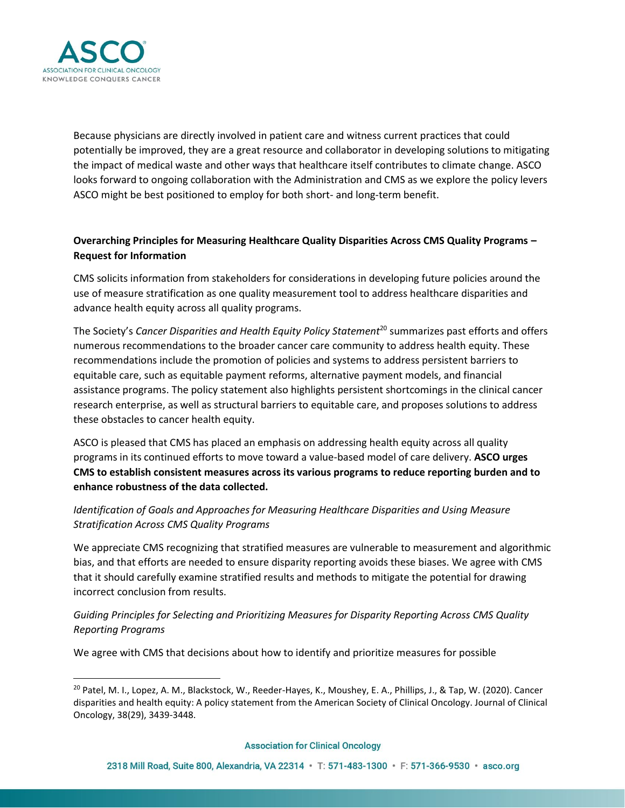

Because physicians are directly involved in patient care and witness current practices that could potentially be improved, they are a great resource and collaborator in developing solutions to mitigating the impact of medical waste and other ways that healthcare itself contributes to climate change. ASCO looks forward to ongoing collaboration with the Administration and CMS as we explore the policy levers ASCO might be best positioned to employ for both short- and long-term benefit.

# **Overarching Principles for Measuring Healthcare Quality Disparities Across CMS Quality Programs – Request for Information**

CMS solicits information from stakeholders for considerations in developing future policies around the use of measure stratification as one quality measurement tool to address healthcare disparities and advance health equity across all quality programs.

The Society's *Cancer Disparities and Health Equity Policy Statement*<sup>20</sup> summarizes past efforts and offers numerous recommendations to the broader cancer care community to address health equity. These recommendations include the promotion of policies and systems to address persistent barriers to equitable care, such as equitable payment reforms, alternative payment models, and financial assistance programs. The policy statement also highlights persistent shortcomings in the clinical cancer research enterprise, as well as structural barriers to equitable care, and proposes solutions to address these obstacles to cancer health equity.

ASCO is pleased that CMS has placed an emphasis on addressing health equity across all quality programs in its continued efforts to move toward a value-based model of care delivery. **ASCO urges CMS to establish consistent measures across its various programs to reduce reporting burden and to enhance robustness of the data collected.** 

# *Identification of Goals and Approaches for Measuring Healthcare Disparities and Using Measure Stratification Across CMS Quality Programs*

We appreciate CMS recognizing that stratified measures are vulnerable to measurement and algorithmic bias, and that efforts are needed to ensure disparity reporting avoids these biases. We agree with CMS that it should carefully examine stratified results and methods to mitigate the potential for drawing incorrect conclusion from results.

*Guiding Principles for Selecting and Prioritizing Measures for Disparity Reporting Across CMS Quality Reporting Programs*

We agree with CMS that decisions about how to identify and prioritize measures for possible

<sup>&</sup>lt;sup>20</sup> Patel, M. I., Lopez, A. M., Blackstock, W., Reeder-Hayes, K., Moushey, E. A., Phillips, J., & Tap, W. (2020). Cancer disparities and health equity: A policy statement from the American Society of Clinical Oncology. Journal of Clinical Oncology, 38(29), 3439-3448.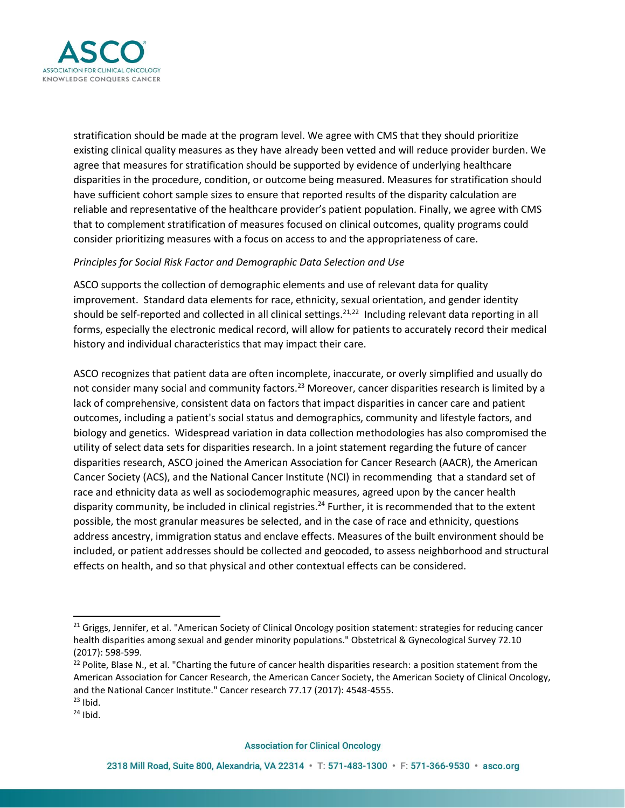

stratification should be made at the program level. We agree with CMS that they should prioritize existing clinical quality measures as they have already been vetted and will reduce provider burden. We agree that measures for stratification should be supported by evidence of underlying healthcare disparities in the procedure, condition, or outcome being measured. Measures for stratification should have sufficient cohort sample sizes to ensure that reported results of the disparity calculation are reliable and representative of the healthcare provider's patient population. Finally, we agree with CMS that to complement stratification of measures focused on clinical outcomes, quality programs could consider prioritizing measures with a focus on access to and the appropriateness of care.

## *Principles for Social Risk Factor and Demographic Data Selection and Use*

ASCO supports the collection of demographic elements and use of relevant data for quality improvement. Standard data elements for race, ethnicity, sexual orientation, and gender identity should be self-reported and collected in all clinical settings.<sup>21,22</sup> Including relevant data reporting in all forms, especially the electronic medical record, will allow for patients to accurately record their medical history and individual characteristics that may impact their care.

ASCO recognizes that patient data are often incomplete, inaccurate, or overly simplified and usually do not consider many social and community factors.<sup>23</sup> Moreover, cancer disparities research is limited by a lack of comprehensive, consistent data on factors that impact disparities in cancer care and patient outcomes, including a patient's social status and demographics, community and lifestyle factors, and biology and genetics. Widespread variation in data collection methodologies has also compromised the utility of select data sets for disparities research. In a joint statement regarding the future of cancer disparities research, ASCO joined the American Association for Cancer Research (AACR), the American Cancer Society (ACS), and the National Cancer Institute (NCI) in recommending that a standard set of race and ethnicity data as well as sociodemographic measures, agreed upon by the cancer health disparity community, be included in clinical registries.<sup>24</sup> Further, it is recommended that to the extent possible, the most granular measures be selected, and in the case of race and ethnicity, questions address ancestry, immigration status and enclave effects. Measures of the built environment should be included, or patient addresses should be collected and geocoded, to assess neighborhood and structural effects on health, and so that physical and other contextual effects can be considered.

<sup>&</sup>lt;sup>21</sup> Griggs, Jennifer, et al. "American Society of Clinical Oncology position statement: strategies for reducing cancer health disparities among sexual and gender minority populations." Obstetrical & Gynecological Survey 72.10 (2017): 598-599.

 $22$  Polite, Blase N., et al. "Charting the future of cancer health disparities research: a position statement from the American Association for Cancer Research, the American Cancer Society, the American Society of Clinical Oncology, and the National Cancer Institute." Cancer research 77.17 (2017): 4548-4555.  $23$  Ibid.

 $24$  Ibid.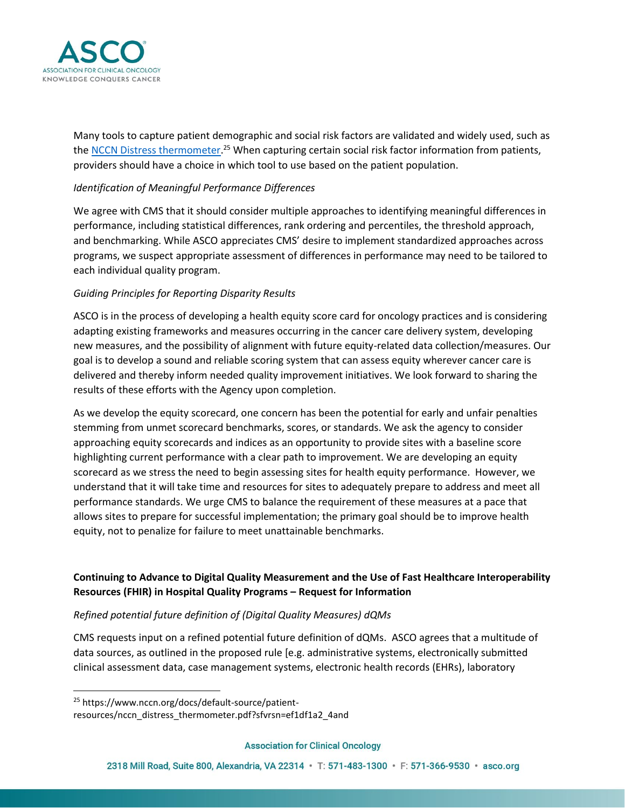

Many tools to capture patient demographic and social risk factors are validated and widely used, such as th[e NCCN Distress thermometer.](https://www.nccn.org/docs/default-source/patient-resources/nccn_distress_thermometer.pdf?sfvrsn=ef1df1a2_4and)<sup>25</sup> When capturing certain social risk factor information from patients, providers should have a choice in which tool to use based on the patient population.

## *Identification of Meaningful Performance Differences*

We agree with CMS that it should consider multiple approaches to identifying meaningful differences in performance, including statistical differences, rank ordering and percentiles, the threshold approach, and benchmarking. While ASCO appreciates CMS' desire to implement standardized approaches across programs, we suspect appropriate assessment of differences in performance may need to be tailored to each individual quality program.

## *Guiding Principles for Reporting Disparity Results*

ASCO is in the process of developing a health equity score card for oncology practices and is considering adapting existing frameworks and measures occurring in the cancer care delivery system, developing new measures, and the possibility of alignment with future equity-related data collection/measures. Our goal is to develop a sound and reliable scoring system that can assess equity wherever cancer care is delivered and thereby inform needed quality improvement initiatives. We look forward to sharing the results of these efforts with the Agency upon completion.

As we develop the equity scorecard, one concern has been the potential for early and unfair penalties stemming from unmet scorecard benchmarks, scores, or standards. We ask the agency to consider approaching equity scorecards and indices as an opportunity to provide sites with a baseline score highlighting current performance with a clear path to improvement. We are developing an equity scorecard as we stress the need to begin assessing sites for health equity performance. However, we understand that it will take time and resources for sites to adequately prepare to address and meet all performance standards. We urge CMS to balance the requirement of these measures at a pace that allows sites to prepare for successful implementation; the primary goal should be to improve health equity, not to penalize for failure to meet unattainable benchmarks.

# **Continuing to Advance to Digital Quality Measurement and the Use of Fast Healthcare Interoperability Resources (FHIR) in Hospital Quality Programs – Request for Information**

## *Refined potential future definition of (Digital Quality Measures) dQMs*

CMS requests input on a refined potential future definition of dQMs. ASCO agrees that a multitude of data sources, as outlined in the proposed rule [e.g. administrative systems, electronically submitted clinical assessment data, case management systems, electronic health records (EHRs), laboratory

<sup>25</sup> https://www.nccn.org/docs/default-source/patient-

resources/nccn\_distress\_thermometer.pdf?sfvrsn=ef1df1a2\_4and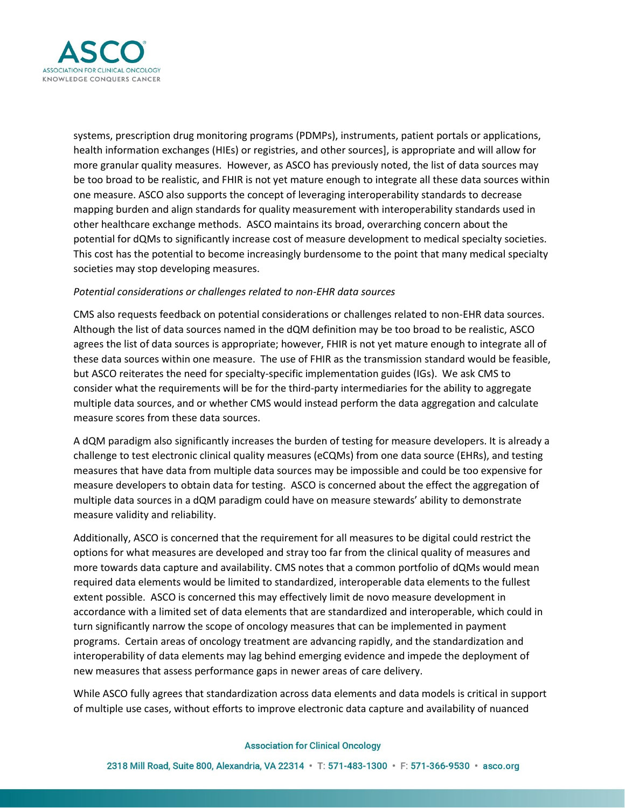

systems, prescription drug monitoring programs (PDMPs), instruments, patient portals or applications, health information exchanges (HIEs) or registries, and other sources], is appropriate and will allow for more granular quality measures. However, as ASCO has previously noted, the list of data sources may be too broad to be realistic, and FHIR is not yet mature enough to integrate all these data sources within one measure. ASCO also supports the concept of leveraging interoperability standards to decrease mapping burden and align standards for quality measurement with interoperability standards used in other healthcare exchange methods. ASCO maintains its broad, overarching concern about the potential for dQMs to significantly increase cost of measure development to medical specialty societies. This cost has the potential to become increasingly burdensome to the point that many medical specialty societies may stop developing measures.

## *Potential considerations or challenges related to non-EHR data sources*

CMS also requests feedback on potential considerations or challenges related to non-EHR data sources. Although the list of data sources named in the dQM definition may be too broad to be realistic, ASCO agrees the list of data sources is appropriate; however, FHIR is not yet mature enough to integrate all of these data sources within one measure. The use of FHIR as the transmission standard would be feasible, but ASCO reiterates the need for specialty-specific implementation guides (IGs). We ask CMS to consider what the requirements will be for the third-party intermediaries for the ability to aggregate multiple data sources, and or whether CMS would instead perform the data aggregation and calculate measure scores from these data sources.

A dQM paradigm also significantly increases the burden of testing for measure developers. It is already a challenge to test electronic clinical quality measures (eCQMs) from one data source (EHRs), and testing measures that have data from multiple data sources may be impossible and could be too expensive for measure developers to obtain data for testing. ASCO is concerned about the effect the aggregation of multiple data sources in a dQM paradigm could have on measure stewards' ability to demonstrate measure validity and reliability.

Additionally, ASCO is concerned that the requirement for all measures to be digital could restrict the options for what measures are developed and stray too far from the clinical quality of measures and more towards data capture and availability. CMS notes that a common portfolio of dQMs would mean required data elements would be limited to standardized, interoperable data elements to the fullest extent possible. ASCO is concerned this may effectively limit de novo measure development in accordance with a limited set of data elements that are standardized and interoperable, which could in turn significantly narrow the scope of oncology measures that can be implemented in payment programs. Certain areas of oncology treatment are advancing rapidly, and the standardization and interoperability of data elements may lag behind emerging evidence and impede the deployment of new measures that assess performance gaps in newer areas of care delivery.

While ASCO fully agrees that standardization across data elements and data models is critical in support of multiple use cases, without efforts to improve electronic data capture and availability of nuanced